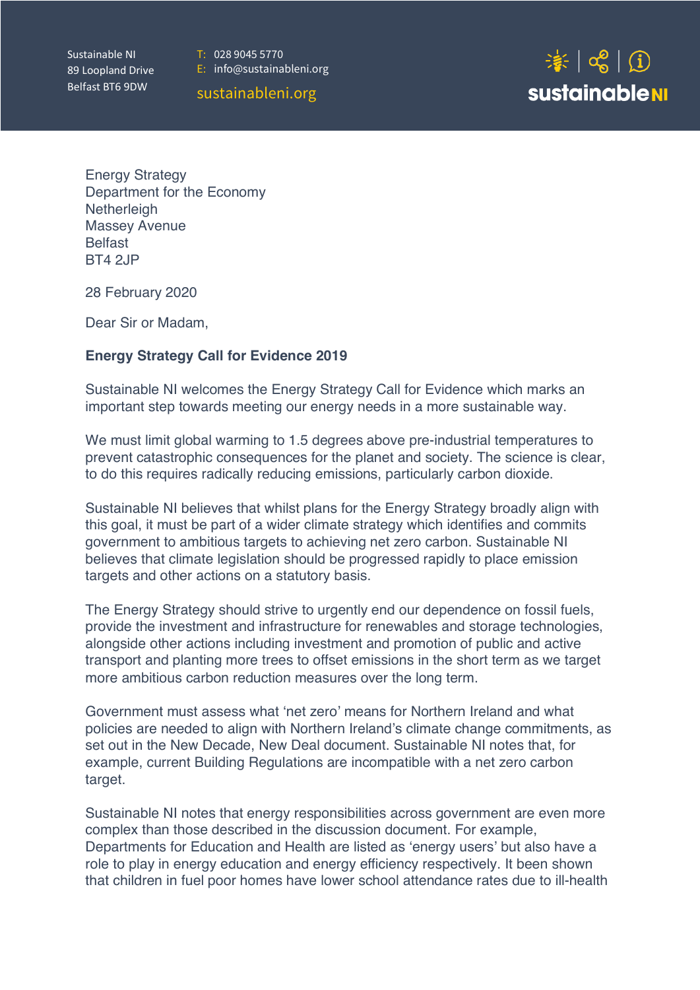Sustainable NI 89 Loopland Drive Belfast BT6 9DW

T:028 9045 5770



sustainableni.org



Energy Strategy Department for the Economy **Netherleigh** Massey Avenue Belfast BT4 2JP

28 February 2020

Dear Sir or Madam,

# **Energy Strategy Call for Evidence 2019**

Sustainable NI welcomes the Energy Strategy Call for Evidence which marks an important step towards meeting our energy needs in a more sustainable way.

We must limit global warming to 1.5 degrees above pre-industrial temperatures to prevent catastrophic consequences for the planet and society. The science is clear, to do this requires radically reducing emissions, particularly carbon dioxide.

Sustainable NI believes that whilst plans for the Energy Strategy broadly align with this goal, it must be part of a wider climate strategy which identifies and commits government to ambitious targets to achieving net zero carbon. Sustainable NI believes that climate legislation should be progressed rapidly to place emission targets and other actions on a statutory basis.

The Energy Strategy should strive to urgently end our dependence on fossil fuels, provide the investment and infrastructure for renewables and storage technologies, alongside other actions including investment and promotion of public and active transport and planting more trees to offset emissions in the short term as we target more ambitious carbon reduction measures over the long term.

Government must assess what 'net zero' means for Northern Ireland and what policies are needed to align with Northern Ireland's climate change commitments, as set out in the New Decade, New Deal document. Sustainable NI notes that, for example, current Building Regulations are incompatible with a net zero carbon target.

Sustainable NI notes that energy responsibilities across government are even more complex than those described in the discussion document. For example, Departments for Education and Health are listed as 'energy users' but also have a role to play in energy education and energy efficiency respectively. It been shown that children in fuel poor homes have lower school attendance rates due to ill-health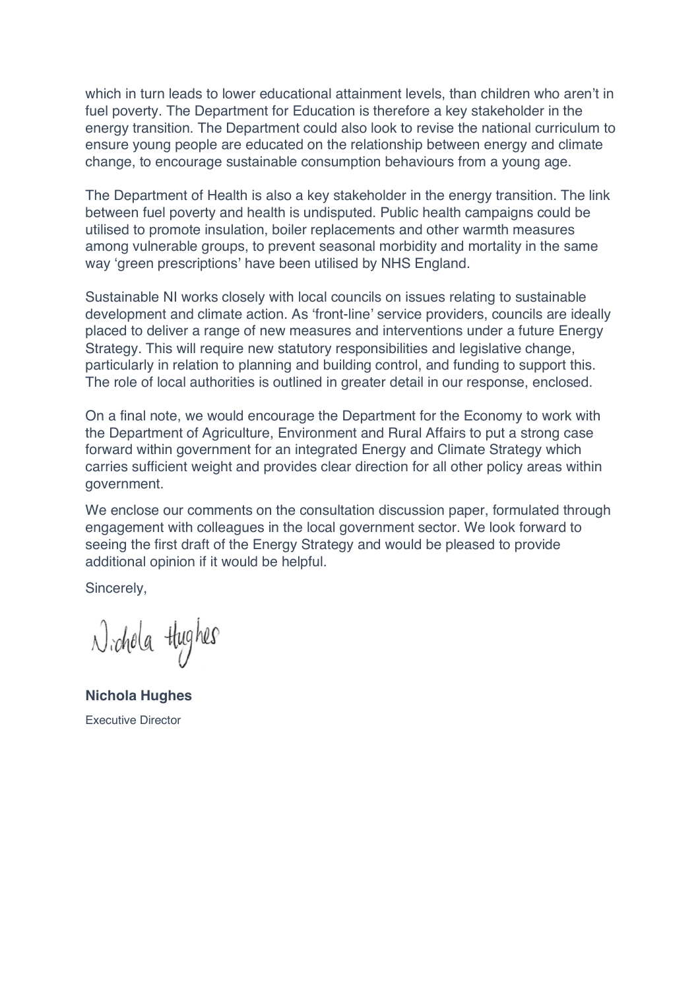which in turn leads to lower educational attainment levels, than children who aren't in fuel poverty. The Department for Education is therefore a key stakeholder in the energy transition. The Department could also look to revise the national curriculum to ensure young people are educated on the relationship between energy and climate change, to encourage sustainable consumption behaviours from a young age.

The Department of Health is also a key stakeholder in the energy transition. The link between fuel poverty and health is undisputed. Public health campaigns could be utilised to promote insulation, boiler replacements and other warmth measures among vulnerable groups, to prevent seasonal morbidity and mortality in the same way 'green prescriptions' have been utilised by NHS England.

Sustainable NI works closely with local councils on issues relating to sustainable development and climate action. As 'front-line' service providers, councils are ideally placed to deliver a range of new measures and interventions under a future Energy Strategy. This will require new statutory responsibilities and legislative change, particularly in relation to planning and building control, and funding to support this. The role of local authorities is outlined in greater detail in our response, enclosed.

On a final note, we would encourage the Department for the Economy to work with the Department of Agriculture, Environment and Rural Affairs to put a strong case forward within government for an integrated Energy and Climate Strategy which carries sufficient weight and provides clear direction for all other policy areas within government.

We enclose our comments on the consultation discussion paper, formulated through engagement with colleagues in the local government sector. We look forward to seeing the first draft of the Energy Strategy and would be pleased to provide additional opinion if it would be helpful.

Sincerely,

 $\lambda$ ichola tłughes

**Nichola Hughes** Executive Director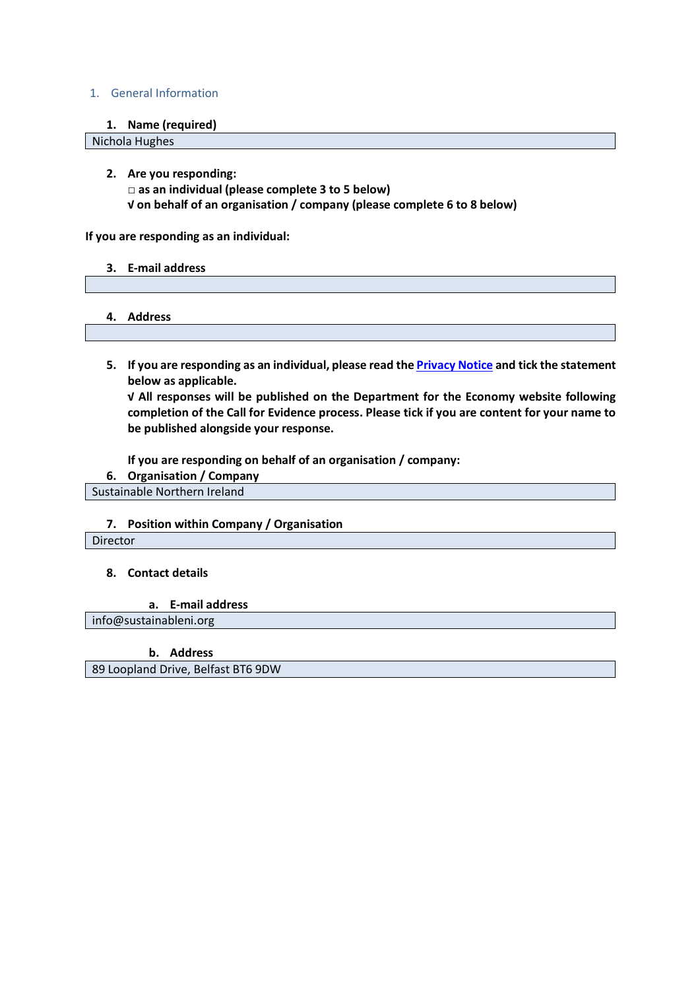#### 1. General Information

**1. Name (required)**

Nichola Hughes

**2. Are you responding: □ as an individual (please complete 3 to 5 below) √ on behalf of an organisation / company (please complete 6 to 8 below)**

**If you are responding as an individual:**

- **3. E-mail address**
- **4. Address**
- **5. If you are responding as an individual, please read the Privacy Notice and tick the statement below as applicable.**

**√ All responses will be published on the Department for the Economy website following completion of the Call for Evidence process. Please tick if you are content for your name to be published alongside your response.**

**If you are responding on behalf of an organisation / company:**

**6. Organisation / Company** 

Sustainable Northern Ireland

#### **7. Position within Company / Organisation**

Director

#### **8. Contact details**

**a. E-mail address**

info@sustainableni.org

**b. Address** 

89 Loopland Drive, Belfast BT6 9DW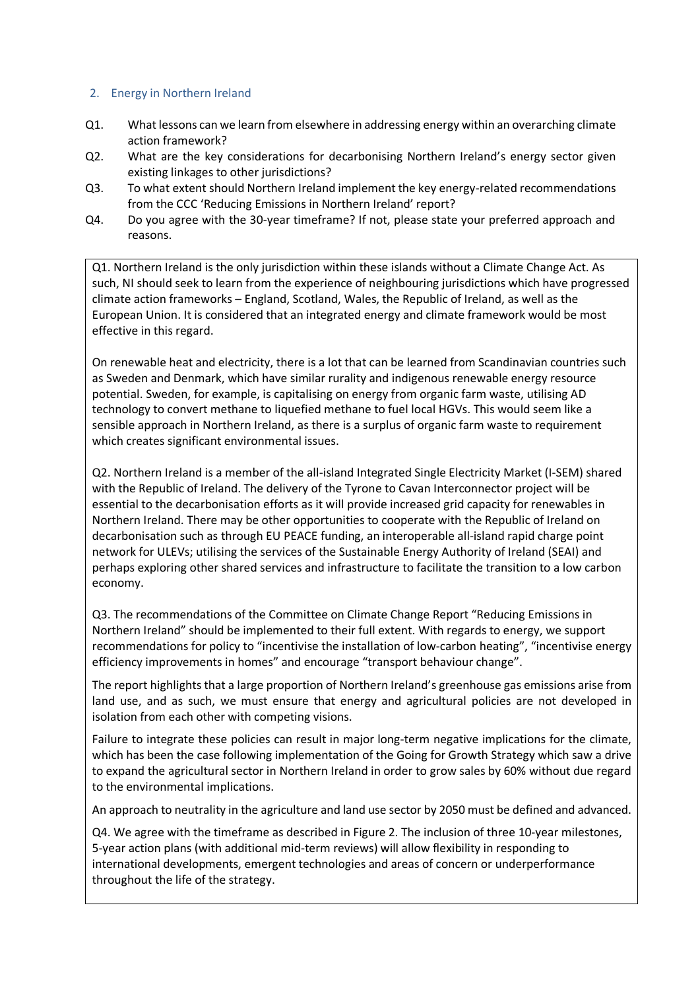### 2. Energy in Northern Ireland

- Q1. What lessons can we learn from elsewhere in addressing energy within an overarching climate action framework?
- Q2. What are the key considerations for decarbonising Northern Ireland's energy sector given existing linkages to other jurisdictions?
- Q3. To what extent should Northern Ireland implement the key energy-related recommendations from the CCC 'Reducing Emissions in Northern Ireland' report?
- Q4. Do you agree with the 30-year timeframe? If not, please state your preferred approach and reasons.

Q1. Northern Ireland is the only jurisdiction within these islands without a Climate Change Act. As such, NI should seek to learn from the experience of neighbouring jurisdictions which have progressed climate action frameworks – England, Scotland, Wales, the Republic of Ireland, as well as the European Union. It is considered that an integrated energy and climate framework would be most effective in this regard.

On renewable heat and electricity, there is a lot that can be learned from Scandinavian countries such as Sweden and Denmark, which have similar rurality and indigenous renewable energy resource potential. Sweden, for example, is capitalising on energy from organic farm waste, utilising AD technology to convert methane to liquefied methane to fuel local HGVs. This would seem like a sensible approach in Northern Ireland, as there is a surplus of organic farm waste to requirement which creates significant environmental issues.

Q2. Northern Ireland is a member of the all-island Integrated Single Electricity Market (I-SEM) shared with the Republic of Ireland. The delivery of the Tyrone to Cavan Interconnector project will be essential to the decarbonisation efforts as it will provide increased grid capacity for renewables in Northern Ireland. There may be other opportunities to cooperate with the Republic of Ireland on decarbonisation such as through EU PEACE funding, an interoperable all-island rapid charge point network for ULEVs; utilising the services of the Sustainable Energy Authority of Ireland (SEAI) and perhaps exploring other shared services and infrastructure to facilitate the transition to a low carbon economy.

Q3. The recommendations of the Committee on Climate Change Report "Reducing Emissions in Northern Ireland" should be implemented to their full extent. With regards to energy, we support recommendations for policy to "incentivise the installation of low-carbon heating", "incentivise energy efficiency improvements in homes" and encourage "transport behaviour change".

The report highlights that a large proportion of Northern Ireland's greenhouse gas emissions arise from land use, and as such, we must ensure that energy and agricultural policies are not developed in isolation from each other with competing visions.

Failure to integrate these policies can result in major long-term negative implications for the climate, which has been the case following implementation of the Going for Growth Strategy which saw a drive to expand the agricultural sector in Northern Ireland in order to grow sales by 60% without due regard to the environmental implications.

An approach to neutrality in the agriculture and land use sector by 2050 must be defined and advanced.

Q4. We agree with the timeframe as described in Figure 2. The inclusion of three 10-year milestones, 5-year action plans (with additional mid-term reviews) will allow flexibility in responding to international developments, emergent technologies and areas of concern or underperformance throughout the life of the strategy.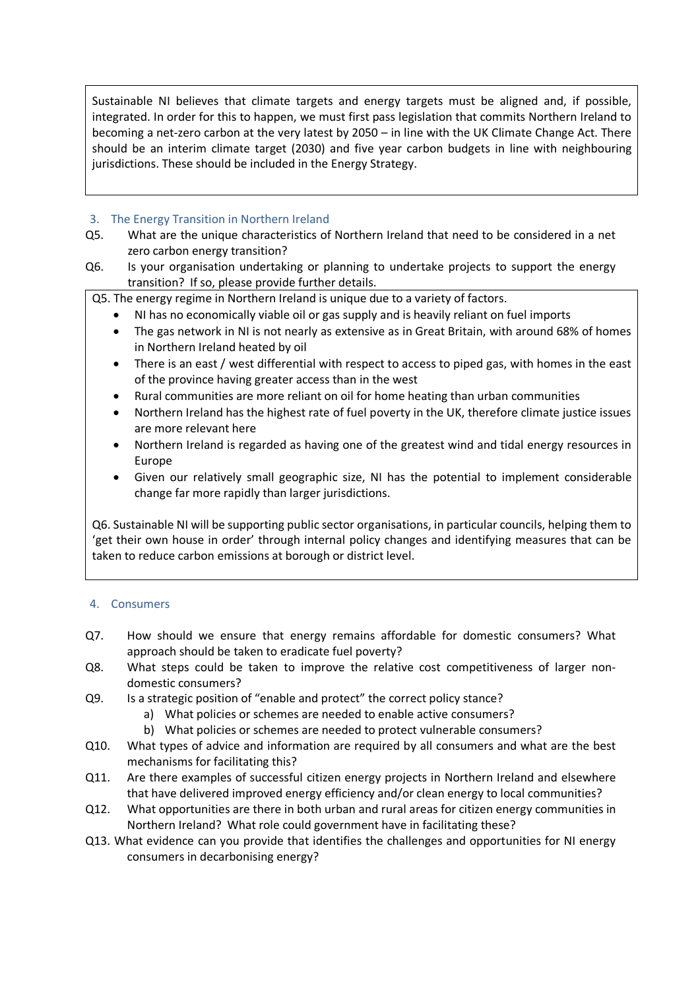Sustainable NI believes that climate targets and energy targets must be aligned and, if possible, integrated. In order for this to happen, we must first pass legislation that commits Northern Ireland to becoming a net-zero carbon at the very latest by 2050 – in line with the UK Climate Change Act. There should be an interim climate target (2030) and five year carbon budgets in line with neighbouring jurisdictions. These should be included in the Energy Strategy.

# 3. The Energy Transition in Northern Ireland

- Q5. What are the unique characteristics of Northern Ireland that need to be considered in a net zero carbon energy transition?
- Q6. Is your organisation undertaking or planning to undertake projects to support the energy transition? If so, please provide further details.

Q5. The energy regime in Northern Ireland is unique due to a variety of factors.

- NI has no economically viable oil or gas supply and is heavily reliant on fuel imports
- The gas network in NI is not nearly as extensive as in Great Britain, with around 68% of homes in Northern Ireland heated by oil
- There is an east / west differential with respect to access to piped gas, with homes in the east of the province having greater access than in the west
- Rural communities are more reliant on oil for home heating than urban communities
- Northern Ireland has the highest rate of fuel poverty in the UK, therefore climate justice issues are more relevant here
- Northern Ireland is regarded as having one of the greatest wind and tidal energy resources in Europe
- Given our relatively small geographic size, NI has the potential to implement considerable change far more rapidly than larger jurisdictions.

Q6. Sustainable NI will be supporting public sector organisations, in particular councils, helping them to 'get their own house in order' through internal policy changes and identifying measures that can be taken to reduce carbon emissions at borough or district level.

### 4. Consumers

- Q7. How should we ensure that energy remains affordable for domestic consumers? What approach should be taken to eradicate fuel poverty?
- Q8. What steps could be taken to improve the relative cost competitiveness of larger nondomestic consumers?
- Q9. Is a strategic position of "enable and protect" the correct policy stance?
	- a) What policies or schemes are needed to enable active consumers?
	- b) What policies or schemes are needed to protect vulnerable consumers?
- Q10. What types of advice and information are required by all consumers and what are the best mechanisms for facilitating this?
- Q11. Are there examples of successful citizen energy projects in Northern Ireland and elsewhere that have delivered improved energy efficiency and/or clean energy to local communities?
- Q12. What opportunities are there in both urban and rural areas for citizen energy communities in Northern Ireland? What role could government have in facilitating these?
- Q13. What evidence can you provide that identifies the challenges and opportunities for NI energy consumers in decarbonising energy?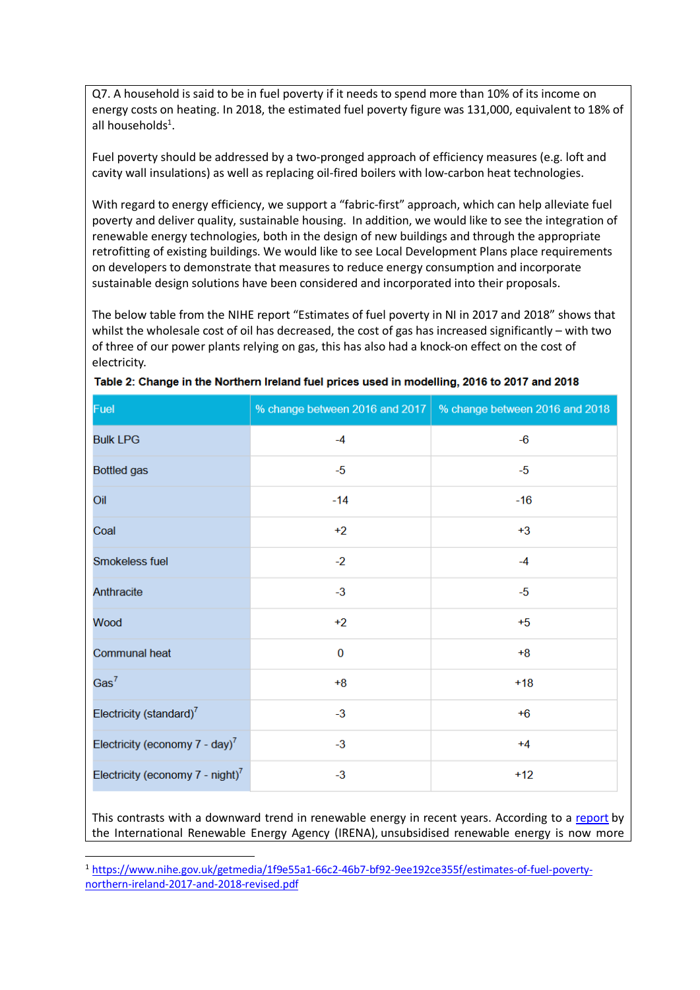Q7. A household is said to be in fuel poverty if it needs to spend more than 10% of its income on energy costs on heating. In 2018, the estimated fuel poverty figure was 131,000, equivalent to 18% of all households<sup>1</sup>.

Fuel poverty should be addressed by a two-pronged approach of efficiency measures (e.g. loft and cavity wall insulations) as well as replacing oil-fired boilers with low-carbon heat technologies.

With regard to energy efficiency, we support a "fabric-first" approach, which can help alleviate fuel poverty and deliver quality, sustainable housing. In addition, we would like to see the integration of renewable energy technologies, both in the design of new buildings and through the appropriate retrofitting of existing buildings. We would like to see Local Development Plans place requirements on developers to demonstrate that measures to reduce energy consumption and incorporate sustainable design solutions have been considered and incorporated into their proposals.

The below table from the NIHE report "Estimates of fuel poverty in NI in 2017 and 2018" shows that whilst the wholesale cost of oil has decreased, the cost of gas has increased significantly – with two of three of our power plants relying on gas, this has also had a knock-on effect on the cost of electricity.

| Fuel                                           | % change between 2016 and 2017 | % change between 2016 and 2018 |
|------------------------------------------------|--------------------------------|--------------------------------|
| <b>Bulk LPG</b>                                | $-4$                           | $-6$                           |
| <b>Bottled</b> gas                             | $-5$                           | $-5$                           |
| Oil                                            | $-14$                          | $-16$                          |
| Coal                                           | $+2$                           | $+3$                           |
| Smokeless fuel                                 | $-2$                           | $-4$                           |
| Anthracite                                     | $-3$                           | $-5$                           |
| Wood                                           | $+2$                           | $+5$                           |
| <b>Communal heat</b>                           | $\bf{0}$                       | $+8$                           |
| Gas <sup>7</sup>                               | $+8$                           | $+18$                          |
| Electricity (standard) <sup>7</sup>            | $-3$                           | $+6$                           |
| Electricity (economy $7 - day$ ) <sup>7</sup>  | $-3$                           | $+4$                           |
| Electricity (economy $7 -$ night) <sup>7</sup> | $-3$                           | $+12$                          |

| Table 2: Change in the Northern Ireland fuel prices used in modelling, 2016 to 2017 and 2018 |  |  |  |
|----------------------------------------------------------------------------------------------|--|--|--|
|                                                                                              |  |  |  |

This contrasts with a downward trend in renewable energy in recent years. According to a report by the International Renewable Energy Agency (IRENA), unsubsidised renewable energy is now more

 <sup>1</sup> https://www.nihe.gov.uk/getmedia/1f9e55a1-66c2-46b7-bf92-9ee192ce355f/estimates-of-fuel-povertynorthern-ireland-2017-and-2018-revised.pdf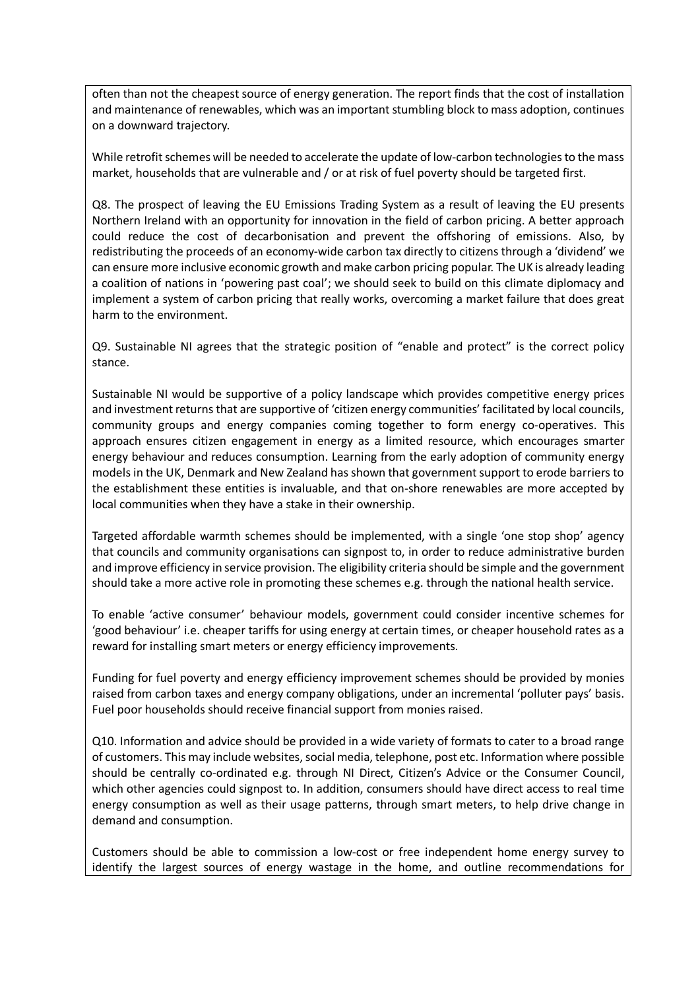often than not the cheapest source of energy generation. The report finds that the cost of installation and maintenance of renewables, which was an important stumbling block to mass adoption, continues on a downward trajectory.

While retrofit schemes will be needed to accelerate the update of low-carbon technologies to the mass market, households that are vulnerable and / or at risk of fuel poverty should be targeted first.

Q8. The prospect of leaving the EU Emissions Trading System as a result of leaving the EU presents Northern Ireland with an opportunity for innovation in the field of carbon pricing. A better approach could reduce the cost of decarbonisation and prevent the offshoring of emissions. Also, by redistributing the proceeds of an economy-wide carbon tax directly to citizens through a 'dividend' we can ensure more inclusive economic growth and make carbon pricing popular. The UK is already leading a coalition of nations in 'powering past coal'; we should seek to build on this climate diplomacy and implement a system of carbon pricing that really works, overcoming a market failure that does great harm to the environment.

Q9. Sustainable NI agrees that the strategic position of "enable and protect" is the correct policy stance.

Sustainable NI would be supportive of a policy landscape which provides competitive energy prices and investment returns that are supportive of 'citizen energy communities' facilitated by local councils, community groups and energy companies coming together to form energy co-operatives. This approach ensures citizen engagement in energy as a limited resource, which encourages smarter energy behaviour and reduces consumption. Learning from the early adoption of community energy models in the UK, Denmark and New Zealand has shown that government support to erode barriers to the establishment these entities is invaluable, and that on-shore renewables are more accepted by local communities when they have a stake in their ownership.

Targeted affordable warmth schemes should be implemented, with a single 'one stop shop' agency that councils and community organisations can signpost to, in order to reduce administrative burden and improve efficiency in service provision. The eligibility criteria should be simple and the government should take a more active role in promoting these schemes e.g. through the national health service.

To enable 'active consumer' behaviour models, government could consider incentive schemes for 'good behaviour' i.e. cheaper tariffs for using energy at certain times, or cheaper household rates as a reward for installing smart meters or energy efficiency improvements.

Funding for fuel poverty and energy efficiency improvement schemes should be provided by monies raised from carbon taxes and energy company obligations, under an incremental 'polluter pays' basis. Fuel poor households should receive financial support from monies raised.

Q10. Information and advice should be provided in a wide variety of formats to cater to a broad range of customers. This may include websites, social media, telephone, post etc. Information where possible should be centrally co-ordinated e.g. through NI Direct, Citizen's Advice or the Consumer Council, which other agencies could signpost to. In addition, consumers should have direct access to real time energy consumption as well as their usage patterns, through smart meters, to help drive change in demand and consumption.

Customers should be able to commission a low-cost or free independent home energy survey to identify the largest sources of energy wastage in the home, and outline recommendations for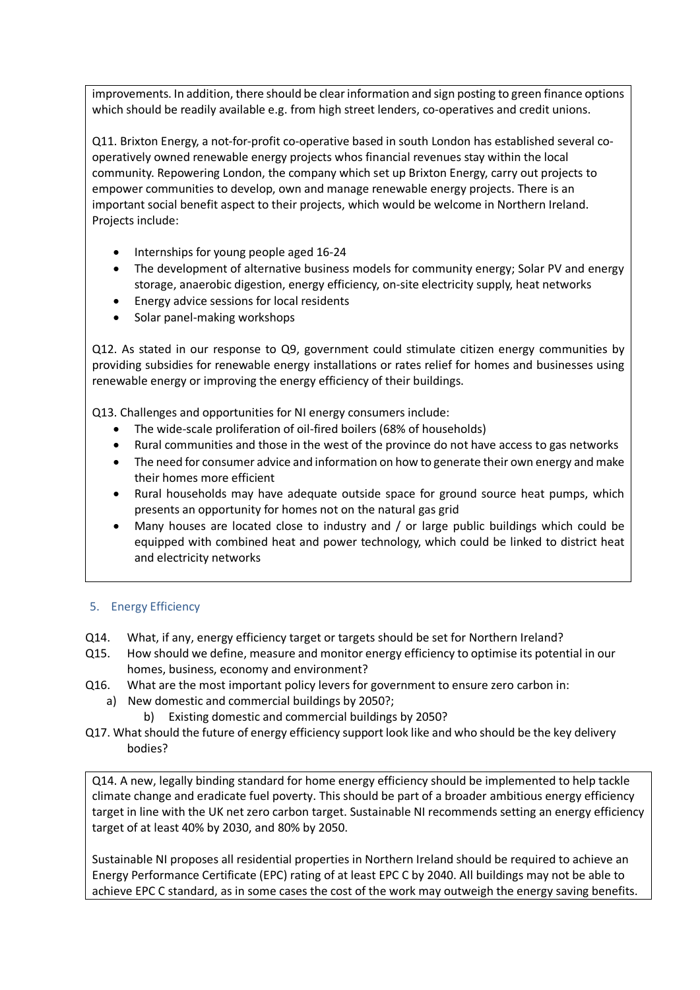improvements. In addition, there should be clear information and sign posting to green finance options which should be readily available e.g. from high street lenders, co-operatives and credit unions.

Q11. Brixton Energy, a not-for-profit co-operative based in south London has established several cooperatively owned renewable energy projects whos financial revenues stay within the local community. Repowering London, the company which set up Brixton Energy, carry out projects to empower communities to develop, own and manage renewable energy projects. There is an important social benefit aspect to their projects, which would be welcome in Northern Ireland. Projects include:

- Internships for young people aged 16-24
- The development of alternative business models for community energy; Solar PV and energy storage, anaerobic digestion, energy efficiency, on-site electricity supply, heat networks
- Energy advice sessions for local residents
- Solar panel-making workshops

Q12. As stated in our response to Q9, government could stimulate citizen energy communities by providing subsidies for renewable energy installations or rates relief for homes and businesses using renewable energy or improving the energy efficiency of their buildings.

Q13. Challenges and opportunities for NI energy consumers include:

- The wide-scale proliferation of oil-fired boilers (68% of households)
- Rural communities and those in the west of the province do not have access to gas networks
- The need for consumer advice and information on how to generate their own energy and make their homes more efficient
- Rural households may have adequate outside space for ground source heat pumps, which presents an opportunity for homes not on the natural gas grid
- Many houses are located close to industry and / or large public buildings which could be equipped with combined heat and power technology, which could be linked to district heat and electricity networks

### 5. Energy Efficiency

- Q14. What, if any, energy efficiency target or targets should be set for Northern Ireland?
- Q15. How should we define, measure and monitor energy efficiency to optimise its potential in our homes, business, economy and environment?
- Q16. What are the most important policy levers for government to ensure zero carbon in:
	- a) New domestic and commercial buildings by 2050?;
		- b) Existing domestic and commercial buildings by 2050?
- Q17. What should the future of energy efficiency support look like and who should be the key delivery bodies?

Q14. A new, legally binding standard for home energy efficiency should be implemented to help tackle climate change and eradicate fuel poverty. This should be part of a broader ambitious energy efficiency target in line with the UK net zero carbon target. Sustainable NI recommends setting an energy efficiency target of at least 40% by 2030, and 80% by 2050.

Sustainable NI proposes all residential properties in Northern Ireland should be required to achieve an Energy Performance Certificate (EPC) rating of at least EPC C by 2040. All buildings may not be able to achieve EPC C standard, as in some cases the cost of the work may outweigh the energy saving benefits.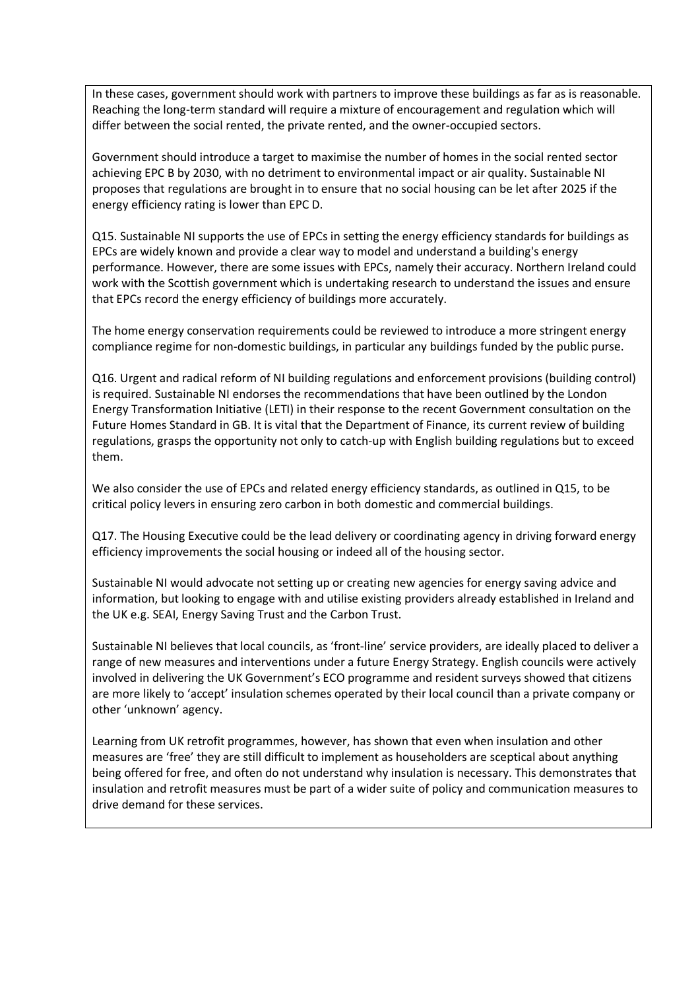In these cases, government should work with partners to improve these buildings as far as is reasonable. Reaching the long-term standard will require a mixture of encouragement and regulation which will differ between the social rented, the private rented, and the owner-occupied sectors.

Government should introduce a target to maximise the number of homes in the social rented sector achieving EPC B by 2030, with no detriment to environmental impact or air quality. Sustainable NI proposes that regulations are brought in to ensure that no social housing can be let after 2025 if the energy efficiency rating is lower than EPC D.

Q15. Sustainable NI supports the use of EPCs in setting the energy efficiency standards for buildings as EPCs are widely known and provide a clear way to model and understand a building's energy performance. However, there are some issues with EPCs, namely their accuracy. Northern Ireland could work with the Scottish government which is undertaking research to understand the issues and ensure that EPCs record the energy efficiency of buildings more accurately.

The home energy conservation requirements could be reviewed to introduce a more stringent energy compliance regime for non-domestic buildings, in particular any buildings funded by the public purse.

Q16. Urgent and radical reform of NI building regulations and enforcement provisions (building control) is required. Sustainable NI endorses the recommendations that have been outlined by the London Energy Transformation Initiative (LETI) in their response to the recent Government consultation on the Future Homes Standard in GB. It is vital that the Department of Finance, its current review of building regulations, grasps the opportunity not only to catch-up with English building regulations but to exceed them.

We also consider the use of EPCs and related energy efficiency standards, as outlined in Q15, to be critical policy levers in ensuring zero carbon in both domestic and commercial buildings.

Q17. The Housing Executive could be the lead delivery or coordinating agency in driving forward energy efficiency improvements the social housing or indeed all of the housing sector.

Sustainable NI would advocate not setting up or creating new agencies for energy saving advice and information, but looking to engage with and utilise existing providers already established in Ireland and the UK e.g. SEAI, Energy Saving Trust and the Carbon Trust.

Sustainable NI believes that local councils, as 'front-line' service providers, are ideally placed to deliver a range of new measures and interventions under a future Energy Strategy. English councils were actively involved in delivering the UK Government's ECO programme and resident surveys showed that citizens are more likely to 'accept' insulation schemes operated by their local council than a private company or other 'unknown' agency.

Learning from UK retrofit programmes, however, has shown that even when insulation and other measures are 'free' they are still difficult to implement as householders are sceptical about anything being offered for free, and often do not understand why insulation is necessary. This demonstrates that insulation and retrofit measures must be part of a wider suite of policy and communication measures to drive demand for these services.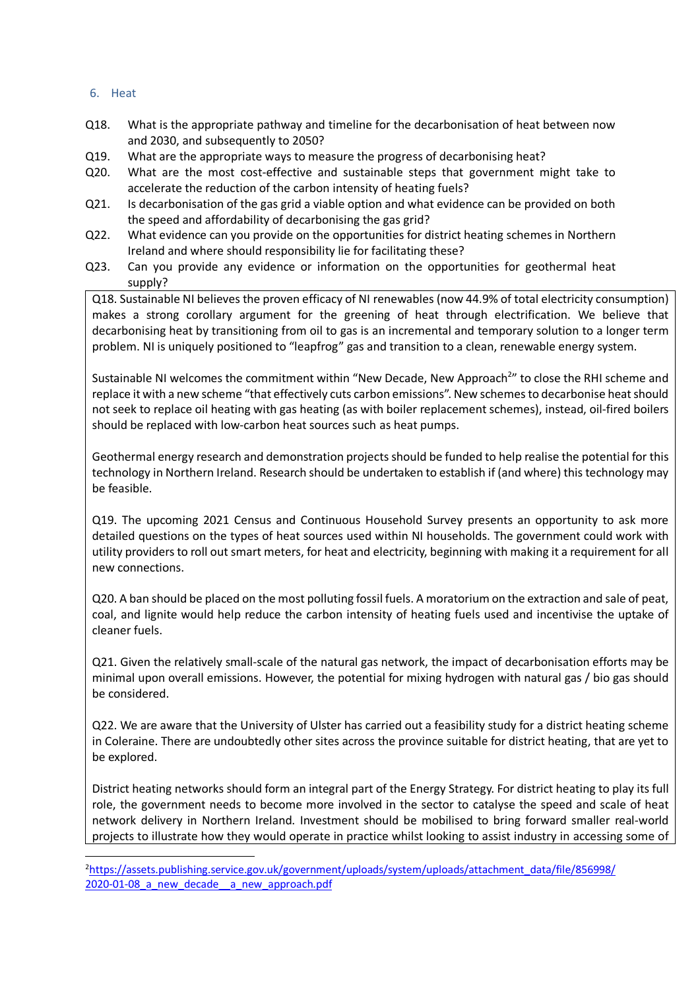#### 6. Heat

- Q18. What is the appropriate pathway and timeline for the decarbonisation of heat between now and 2030, and subsequently to 2050?
- Q19. What are the appropriate ways to measure the progress of decarbonising heat?
- Q20. What are the most cost-effective and sustainable steps that government might take to accelerate the reduction of the carbon intensity of heating fuels?
- Q21. Is decarbonisation of the gas grid a viable option and what evidence can be provided on both the speed and affordability of decarbonising the gas grid?
- Q22. What evidence can you provide on the opportunities for district heating schemes in Northern Ireland and where should responsibility lie for facilitating these?
- Q23. Can you provide any evidence or information on the opportunities for geothermal heat supply?

Q18. Sustainable NI believes the proven efficacy of NI renewables (now 44.9% of total electricity consumption) makes a strong corollary argument for the greening of heat through electrification. We believe that decarbonising heat by transitioning from oil to gas is an incremental and temporary solution to a longer term problem. NI is uniquely positioned to "leapfrog" gas and transition to a clean, renewable energy system.

Sustainable NI welcomes the commitment within "New Decade, New Approach<sup>2</sup>" to close the RHI scheme and replace it with a new scheme "that effectively cuts carbon emissions". New schemes to decarbonise heat should not seek to replace oil heating with gas heating (as with boiler replacement schemes), instead, oil-fired boilers should be replaced with low-carbon heat sources such as heat pumps.

Geothermal energy research and demonstration projects should be funded to help realise the potential for this technology in Northern Ireland. Research should be undertaken to establish if (and where) this technology may be feasible.

Q19. The upcoming 2021 Census and Continuous Household Survey presents an opportunity to ask more detailed questions on the types of heat sources used within NI households. The government could work with utility providers to roll out smart meters, for heat and electricity, beginning with making it a requirement for all new connections.

Q20. A ban should be placed on the most polluting fossil fuels. A moratorium on the extraction and sale of peat, coal, and lignite would help reduce the carbon intensity of heating fuels used and incentivise the uptake of cleaner fuels.

Q21. Given the relatively small-scale of the natural gas network, the impact of decarbonisation efforts may be minimal upon overall emissions. However, the potential for mixing hydrogen with natural gas / bio gas should be considered.

Q22. We are aware that the University of Ulster has carried out a feasibility study for a district heating scheme in Coleraine. There are undoubtedly other sites across the province suitable for district heating, that are yet to be explored.

District heating networks should form an integral part of the Energy Strategy. For district heating to play its full role, the government needs to become more involved in the sector to catalyse the speed and scale of heat network delivery in Northern Ireland. Investment should be mobilised to bring forward smaller real-world projects to illustrate how they would operate in practice whilst looking to assist industry in accessing some of

 $\overline{2}$ https://assets.publishing.service.gov.uk/government/uploads/system/uploads/attachment\_data/file/856998/ 2020-01-08 a new decade a new approach.pdf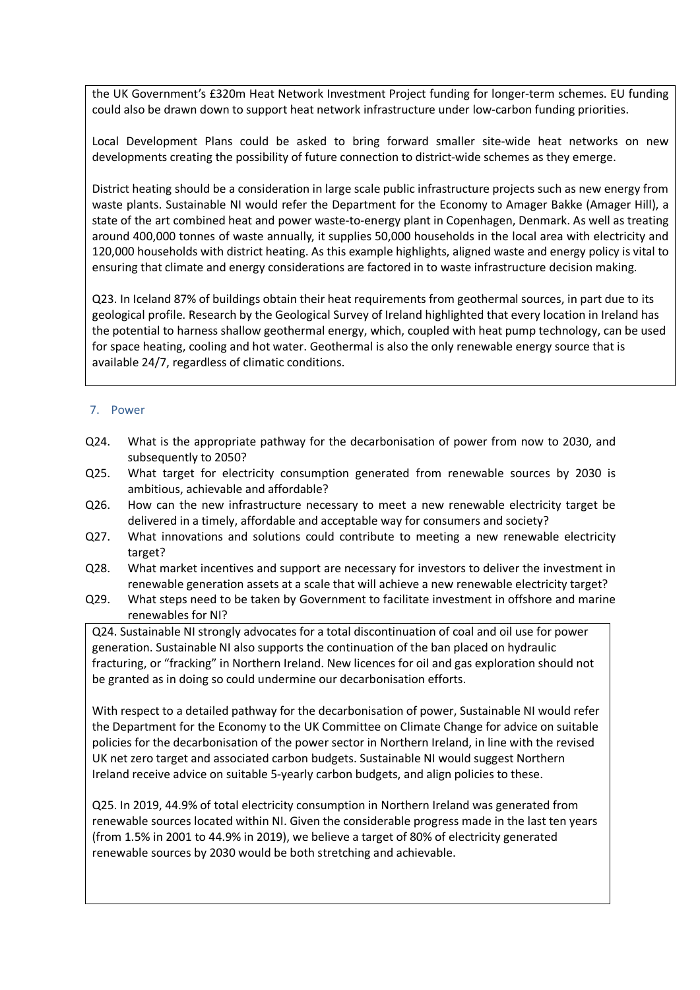the UK Government's £320m Heat Network Investment Project funding for longer-term schemes. EU funding could also be drawn down to support heat network infrastructure under low-carbon funding priorities.

Local Development Plans could be asked to bring forward smaller site-wide heat networks on new developments creating the possibility of future connection to district-wide schemes as they emerge.

District heating should be a consideration in large scale public infrastructure projects such as new energy from waste plants. Sustainable NI would refer the Department for the Economy to Amager Bakke (Amager Hill), a state of the art combined heat and power waste-to-energy plant in Copenhagen, Denmark. As well as treating around 400,000 tonnes of waste annually, it supplies 50,000 households in the local area with electricity and 120,000 households with district heating. As this example highlights, aligned waste and energy policy is vital to ensuring that climate and energy considerations are factored in to waste infrastructure decision making.

Q23. In Iceland 87% of buildings obtain their heat requirements from geothermal sources, in part due to its geological profile. Research by the Geological Survey of Ireland highlighted that every location in Ireland has the potential to harness shallow geothermal energy, which, coupled with heat pump technology, can be used for space heating, cooling and hot water. Geothermal is also the only renewable energy source that is available 24/7, regardless of climatic conditions.

#### 7. Power

- Q24. What is the appropriate pathway for the decarbonisation of power from now to 2030, and subsequently to 2050?
- Q25. What target for electricity consumption generated from renewable sources by 2030 is ambitious, achievable and affordable?
- Q26. How can the new infrastructure necessary to meet a new renewable electricity target be delivered in a timely, affordable and acceptable way for consumers and society?
- Q27. What innovations and solutions could contribute to meeting a new renewable electricity target?
- Q28. What market incentives and support are necessary for investors to deliver the investment in renewable generation assets at a scale that will achieve a new renewable electricity target?
- Q29. What steps need to be taken by Government to facilitate investment in offshore and marine renewables for NI?

Q24. Sustainable NI strongly advocates for a total discontinuation of coal and oil use for power generation. Sustainable NI also supports the continuation of the ban placed on hydraulic fracturing, or "fracking" in Northern Ireland. New licences for oil and gas exploration should not be granted as in doing so could undermine our decarbonisation efforts.

With respect to a detailed pathway for the decarbonisation of power, Sustainable NI would refer the Department for the Economy to the UK Committee on Climate Change for advice on suitable policies for the decarbonisation of the power sector in Northern Ireland, in line with the revised UK net zero target and associated carbon budgets. Sustainable NI would suggest Northern Ireland receive advice on suitable 5-yearly carbon budgets, and align policies to these.

Q25. In 2019, 44.9% of total electricity consumption in Northern Ireland was generated from renewable sources located within NI. Given the considerable progress made in the last ten years (from 1.5% in 2001 to 44.9% in 2019), we believe a target of 80% of electricity generated renewable sources by 2030 would be both stretching and achievable.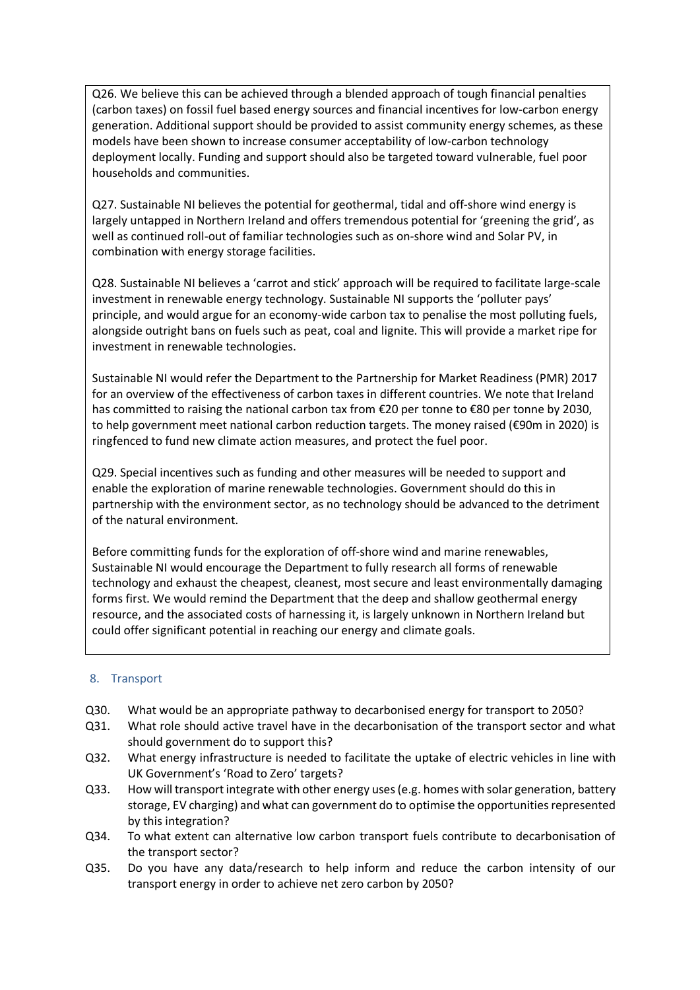Q26. We believe this can be achieved through a blended approach of tough financial penalties (carbon taxes) on fossil fuel based energy sources and financial incentives for low-carbon energy generation. Additional support should be provided to assist community energy schemes, as these models have been shown to increase consumer acceptability of low-carbon technology deployment locally. Funding and support should also be targeted toward vulnerable, fuel poor households and communities.

Q27. Sustainable NI believes the potential for geothermal, tidal and off-shore wind energy is largely untapped in Northern Ireland and offers tremendous potential for 'greening the grid', as well as continued roll-out of familiar technologies such as on-shore wind and Solar PV, in combination with energy storage facilities.

Q28. Sustainable NI believes a 'carrot and stick' approach will be required to facilitate large-scale investment in renewable energy technology. Sustainable NI supports the 'polluter pays' principle, and would argue for an economy-wide carbon tax to penalise the most polluting fuels, alongside outright bans on fuels such as peat, coal and lignite. This will provide a market ripe for investment in renewable technologies.

Sustainable NI would refer the Department to the Partnership for Market Readiness (PMR) 2017 for an overview of the effectiveness of carbon taxes in different countries. We note that Ireland has committed to raising the national carbon tax from €20 per tonne to €80 per tonne by 2030, to help government meet national carbon reduction targets. The money raised (€90m in 2020) is ringfenced to fund new climate action measures, and protect the fuel poor.

Q29. Special incentives such as funding and other measures will be needed to support and enable the exploration of marine renewable technologies. Government should do this in partnership with the environment sector, as no technology should be advanced to the detriment of the natural environment.

Before committing funds for the exploration of off-shore wind and marine renewables, Sustainable NI would encourage the Department to fully research all forms of renewable technology and exhaust the cheapest, cleanest, most secure and least environmentally damaging forms first. We would remind the Department that the deep and shallow geothermal energy resource, and the associated costs of harnessing it, is largely unknown in Northern Ireland but could offer significant potential in reaching our energy and climate goals.

### 8. Transport

- Q30. What would be an appropriate pathway to decarbonised energy for transport to 2050?
- Q31. What role should active travel have in the decarbonisation of the transport sector and what should government do to support this?
- Q32. What energy infrastructure is needed to facilitate the uptake of electric vehicles in line with UK Government's 'Road to Zero' targets?
- Q33. How will transport integrate with other energy uses (e.g. homes with solar generation, battery storage, EV charging) and what can government do to optimise the opportunities represented by this integration?
- Q34. To what extent can alternative low carbon transport fuels contribute to decarbonisation of the transport sector?
- Q35. Do you have any data/research to help inform and reduce the carbon intensity of our transport energy in order to achieve net zero carbon by 2050?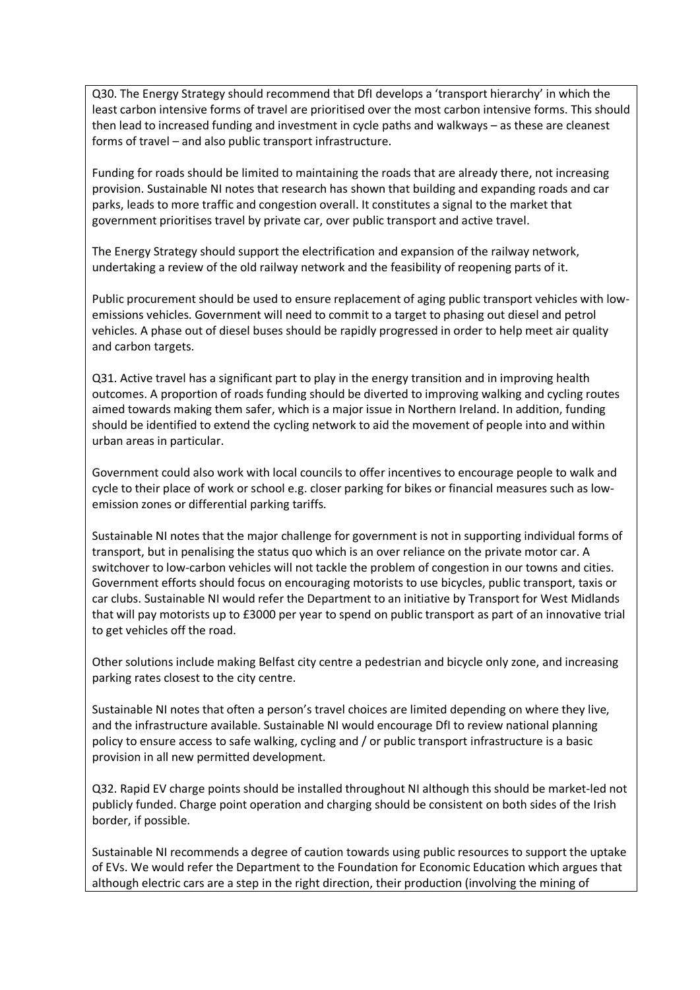Q30. The Energy Strategy should recommend that DfI develops a 'transport hierarchy' in which the least carbon intensive forms of travel are prioritised over the most carbon intensive forms. This should then lead to increased funding and investment in cycle paths and walkways – as these are cleanest forms of travel – and also public transport infrastructure.

Funding for roads should be limited to maintaining the roads that are already there, not increasing provision. Sustainable NI notes that research has shown that building and expanding roads and car parks, leads to more traffic and congestion overall. It constitutes a signal to the market that government prioritises travel by private car, over public transport and active travel.

The Energy Strategy should support the electrification and expansion of the railway network, undertaking a review of the old railway network and the feasibility of reopening parts of it.

Public procurement should be used to ensure replacement of aging public transport vehicles with lowemissions vehicles. Government will need to commit to a target to phasing out diesel and petrol vehicles. A phase out of diesel buses should be rapidly progressed in order to help meet air quality and carbon targets.

Q31. Active travel has a significant part to play in the energy transition and in improving health outcomes. A proportion of roads funding should be diverted to improving walking and cycling routes aimed towards making them safer, which is a major issue in Northern Ireland. In addition, funding should be identified to extend the cycling network to aid the movement of people into and within urban areas in particular.

Government could also work with local councils to offer incentives to encourage people to walk and cycle to their place of work or school e.g. closer parking for bikes or financial measures such as lowemission zones or differential parking tariffs.

Sustainable NI notes that the major challenge for government is not in supporting individual forms of transport, but in penalising the status quo which is an over reliance on the private motor car. A switchover to low-carbon vehicles will not tackle the problem of congestion in our towns and cities. Government efforts should focus on encouraging motorists to use bicycles, public transport, taxis or car clubs. Sustainable NI would refer the Department to an initiative by Transport for West Midlands that will pay motorists up to £3000 per year to spend on public transport as part of an innovative trial to get vehicles off the road.

Other solutions include making Belfast city centre a pedestrian and bicycle only zone, and increasing parking rates closest to the city centre.

Sustainable NI notes that often a person's travel choices are limited depending on where they live, and the infrastructure available. Sustainable NI would encourage DfI to review national planning policy to ensure access to safe walking, cycling and / or public transport infrastructure is a basic provision in all new permitted development.

Q32. Rapid EV charge points should be installed throughout NI although this should be market-led not publicly funded. Charge point operation and charging should be consistent on both sides of the Irish border, if possible.

Sustainable NI recommends a degree of caution towards using public resources to support the uptake of EVs. We would refer the Department to the Foundation for Economic Education which argues that although electric cars are a step in the right direction, their production (involving the mining of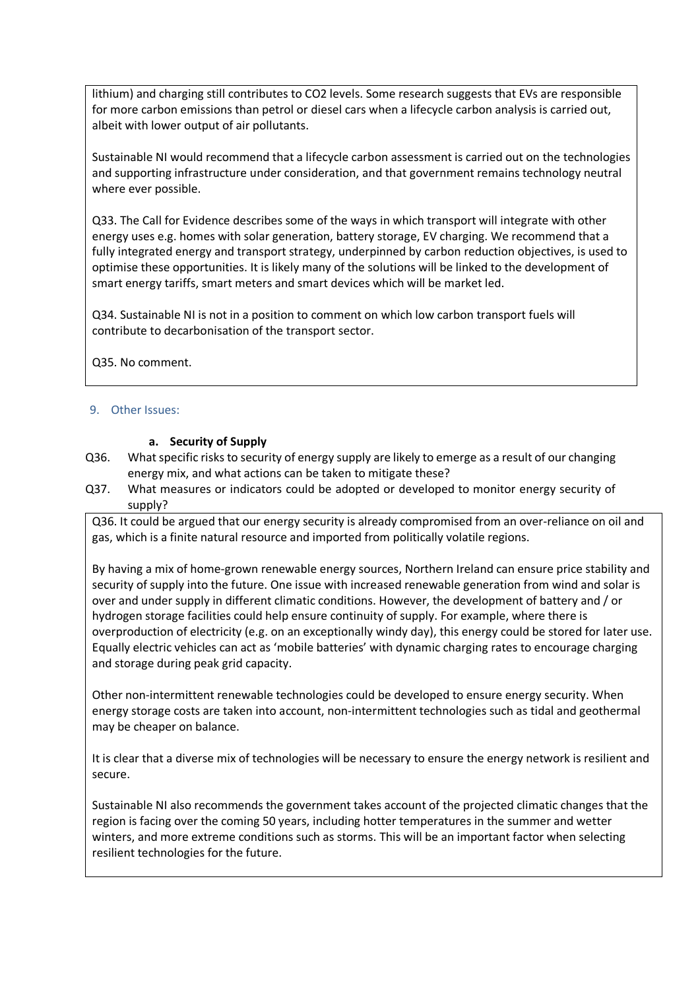lithium) and charging still contributes to CO2 levels. Some research suggests that EVs are responsible for more carbon emissions than petrol or diesel cars when a lifecycle carbon analysis is carried out, albeit with lower output of air pollutants.

Sustainable NI would recommend that a lifecycle carbon assessment is carried out on the technologies and supporting infrastructure under consideration, and that government remains technology neutral where ever possible.

Q33. The Call for Evidence describes some of the ways in which transport will integrate with other energy uses e.g. homes with solar generation, battery storage, EV charging. We recommend that a fully integrated energy and transport strategy, underpinned by carbon reduction objectives, is used to optimise these opportunities. It is likely many of the solutions will be linked to the development of smart energy tariffs, smart meters and smart devices which will be market led.

Q34. Sustainable NI is not in a position to comment on which low carbon transport fuels will contribute to decarbonisation of the transport sector.

Q35. No comment.

### 9. Other Issues:

#### **a. Security of Supply**

- Q36. What specific risks to security of energy supply are likely to emerge as a result of our changing energy mix, and what actions can be taken to mitigate these?
- Q37. What measures or indicators could be adopted or developed to monitor energy security of supply?

Q36. It could be argued that our energy security is already compromised from an over-reliance on oil and gas, which is a finite natural resource and imported from politically volatile regions.

By having a mix of home-grown renewable energy sources, Northern Ireland can ensure price stability and security of supply into the future. One issue with increased renewable generation from wind and solar is over and under supply in different climatic conditions. However, the development of battery and / or hydrogen storage facilities could help ensure continuity of supply. For example, where there is overproduction of electricity (e.g. on an exceptionally windy day), this energy could be stored for later use. Equally electric vehicles can act as 'mobile batteries' with dynamic charging rates to encourage charging and storage during peak grid capacity.

Other non-intermittent renewable technologies could be developed to ensure energy security. When energy storage costs are taken into account, non-intermittent technologies such as tidal and geothermal may be cheaper on balance.

It is clear that a diverse mix of technologies will be necessary to ensure the energy network is resilient and secure.

Sustainable NI also recommends the government takes account of the projected climatic changes that the region is facing over the coming 50 years, including hotter temperatures in the summer and wetter winters, and more extreme conditions such as storms. This will be an important factor when selecting resilient technologies for the future.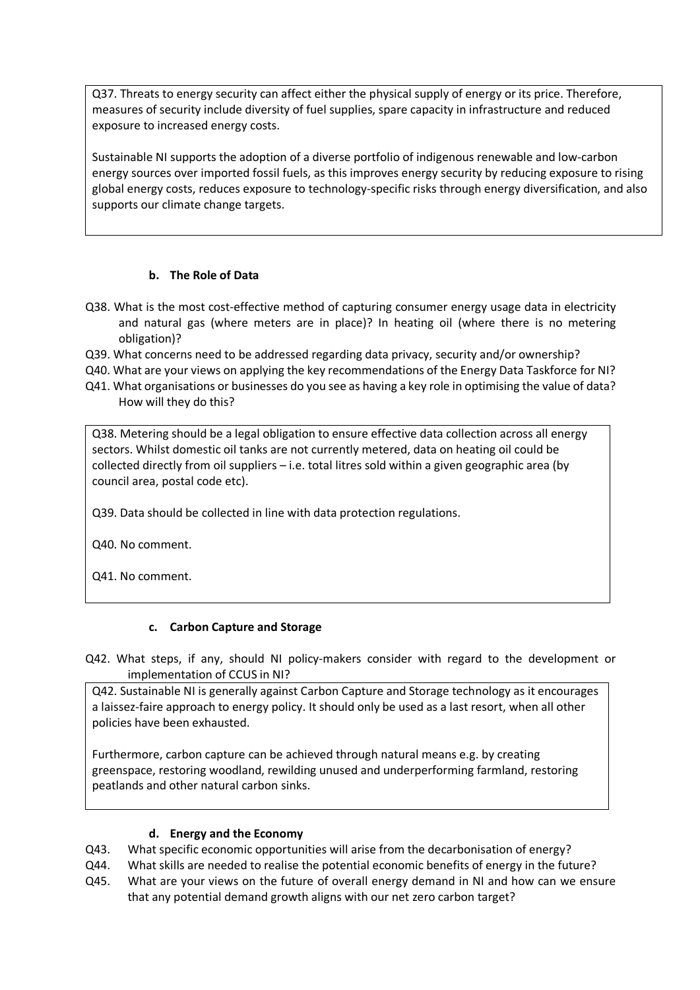Q37. Threats to energy security can affect either the physical supply of energy or its price. Therefore, measures of security include diversity of fuel supplies, spare capacity in infrastructure and reduced exposure to increased energy costs.

Sustainable NI supports the adoption of a diverse portfolio of indigenous renewable and low-carbon energy sources over imported fossil fuels, as this improves energy security by reducing exposure to rising global energy costs, reduces exposure to technology-specific risks through energy diversification, and also supports our climate change targets.

### **b. The Role of Data**

- Q38. What is the most cost-effective method of capturing consumer energy usage data in electricity and natural gas (where meters are in place)? In heating oil (where there is no metering obligation)?
- Q39. What concerns need to be addressed regarding data privacy, security and/or ownership?
- Q40. What are your views on applying the key recommendations of the Energy Data Taskforce for NI?
- Q41. What organisations or businesses do you see as having a key role in optimising the value of data? How will they do this?

Q38. Metering should be a legal obligation to ensure effective data collection across all energy sectors. Whilst domestic oil tanks are not currently metered, data on heating oil could be collected directly from oil suppliers – i.e. total litres sold within a given geographic area (by council area, postal code etc).

Q39. Data should be collected in line with data protection regulations.

Q40. No comment.

Q41. No comment.

### **c. Carbon Capture and Storage**

Q42. What steps, if any, should NI policy-makers consider with regard to the development or implementation of CCUS in NI?

Q42. Sustainable NI is generally against Carbon Capture and Storage technology as it encourages a laissez-faire approach to energy policy. It should only be used as a last resort, when all other policies have been exhausted.

Furthermore, carbon capture can be achieved through natural means e.g. by creating greenspace, restoring woodland, rewilding unused and underperforming farmland, restoring peatlands and other natural carbon sinks.

### **d. Energy and the Economy**

- Q43. What specific economic opportunities will arise from the decarbonisation of energy?
- Q44. What skills are needed to realise the potential economic benefits of energy in the future?
- Q45. What are your views on the future of overall energy demand in NI and how can we ensure that any potential demand growth aligns with our net zero carbon target?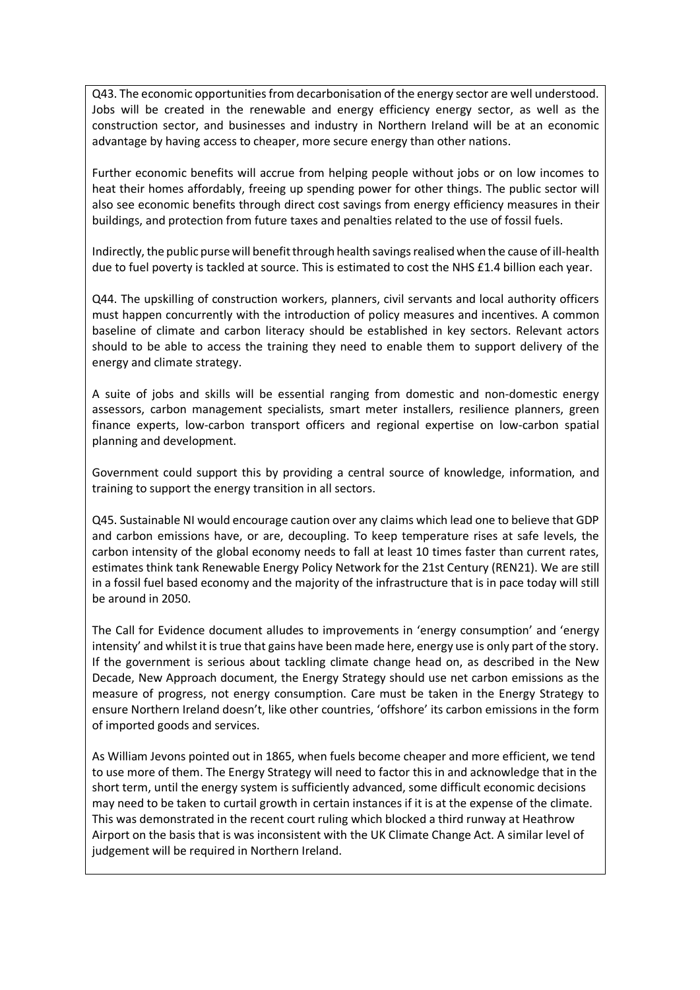Q43. The economic opportunities from decarbonisation of the energy sector are well understood. Jobs will be created in the renewable and energy efficiency energy sector, as well as the construction sector, and businesses and industry in Northern Ireland will be at an economic advantage by having access to cheaper, more secure energy than other nations.

Further economic benefits will accrue from helping people without jobs or on low incomes to heat their homes affordably, freeing up spending power for other things. The public sector will also see economic benefits through direct cost savings from energy efficiency measures in their buildings, and protection from future taxes and penalties related to the use of fossil fuels.

Indirectly, the public purse will benefit through health savings realised when the cause of ill-health due to fuel poverty is tackled at source. This is estimated to cost the NHS £1.4 billion each year.

Q44. The upskilling of construction workers, planners, civil servants and local authority officers must happen concurrently with the introduction of policy measures and incentives. A common baseline of climate and carbon literacy should be established in key sectors. Relevant actors should to be able to access the training they need to enable them to support delivery of the energy and climate strategy.

A suite of jobs and skills will be essential ranging from domestic and non-domestic energy assessors, carbon management specialists, smart meter installers, resilience planners, green finance experts, low-carbon transport officers and regional expertise on low-carbon spatial planning and development.

Government could support this by providing a central source of knowledge, information, and training to support the energy transition in all sectors.

Q45. Sustainable NI would encourage caution over any claims which lead one to believe that GDP and carbon emissions have, or are, decoupling. To keep temperature rises at safe levels, the carbon intensity of the global economy needs to fall at least 10 times faster than current rates, estimates think tank Renewable Energy Policy Network for the 21st Century (REN21). We are still in a fossil fuel based economy and the majority of the infrastructure that is in pace today will still be around in 2050.

The Call for Evidence document alludes to improvements in 'energy consumption' and 'energy intensity' and whilst it is true that gains have been made here, energy use is only part of the story. If the government is serious about tackling climate change head on, as described in the New Decade, New Approach document, the Energy Strategy should use net carbon emissions as the measure of progress, not energy consumption. Care must be taken in the Energy Strategy to ensure Northern Ireland doesn't, like other countries, 'offshore' its carbon emissions in the form of imported goods and services.

As William Jevons pointed out in 1865, when fuels become cheaper and more efficient, we tend to use more of them. The Energy Strategy will need to factor this in and acknowledge that in the short term, until the energy system is sufficiently advanced, some difficult economic decisions may need to be taken to curtail growth in certain instances if it is at the expense of the climate. This was demonstrated in the recent court ruling which blocked a third runway at Heathrow Airport on the basis that is was inconsistent with the UK Climate Change Act. A similar level of judgement will be required in Northern Ireland.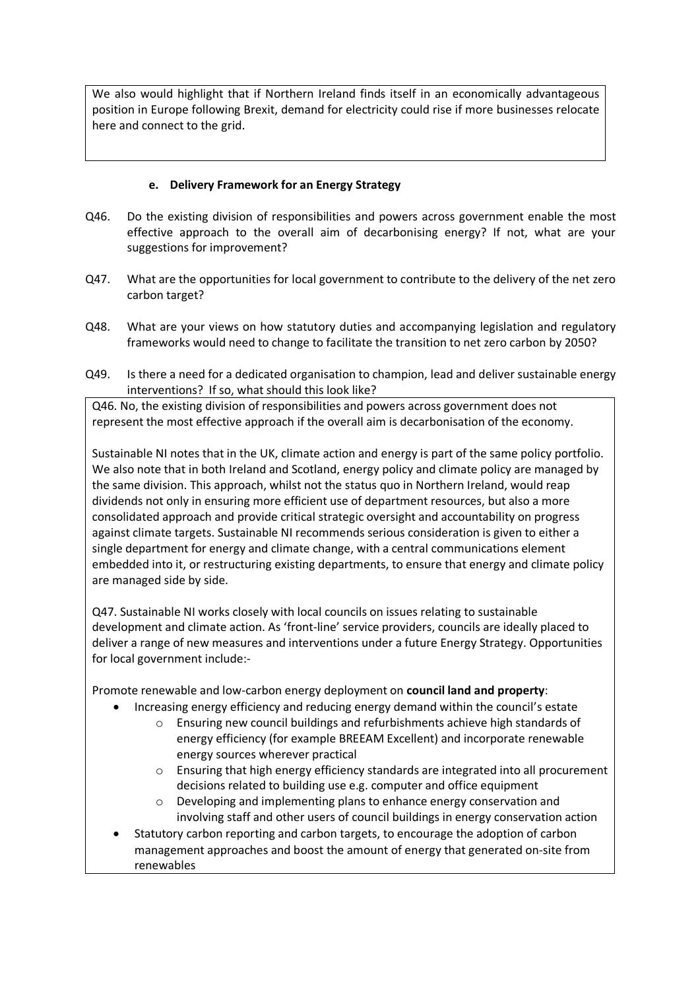We also would highlight that if Northern Ireland finds itself in an economically advantageous position in Europe following Brexit, demand for electricity could rise if more businesses relocate here and connect to the grid.

## **e. Delivery Framework for an Energy Strategy**

- Q46. Do the existing division of responsibilities and powers across government enable the most effective approach to the overall aim of decarbonising energy? If not, what are your suggestions for improvement?
- Q47. What are the opportunities for local government to contribute to the delivery of the net zero carbon target?
- Q48. What are your views on how statutory duties and accompanying legislation and regulatory frameworks would need to change to facilitate the transition to net zero carbon by 2050?
- Q49. Is there a need for a dedicated organisation to champion, lead and deliver sustainable energy interventions? If so, what should this look like?

Q46. No, the existing division of responsibilities and powers across government does not represent the most effective approach if the overall aim is decarbonisation of the economy.

Sustainable NI notes that in the UK, climate action and energy is part of the same policy portfolio. We also note that in both Ireland and Scotland, energy policy and climate policy are managed by the same division. This approach, whilst not the status quo in Northern Ireland, would reap dividends not only in ensuring more efficient use of department resources, but also a more consolidated approach and provide critical strategic oversight and accountability on progress against climate targets. Sustainable NI recommends serious consideration is given to either a single department for energy and climate change, with a central communications element embedded into it, or restructuring existing departments, to ensure that energy and climate policy are managed side by side.

Q47. Sustainable NI works closely with local councils on issues relating to sustainable development and climate action. As 'front-line' service providers, councils are ideally placed to deliver a range of new measures and interventions under a future Energy Strategy. Opportunities for local government include:-

Promote renewable and low-carbon energy deployment on **council land and property**:

- Increasing energy efficiency and reducing energy demand within the council's estate
	- o Ensuring new council buildings and refurbishments achieve high standards of energy efficiency (for example BREEAM Excellent) and incorporate renewable energy sources wherever practical
	- o Ensuring that high energy efficiency standards are integrated into all procurement decisions related to building use e.g. computer and office equipment
	- o Developing and implementing plans to enhance energy conservation and involving staff and other users of council buildings in energy conservation action
- Statutory carbon reporting and carbon targets, to encourage the adoption of carbon management approaches and boost the amount of energy that generated on-site from renewables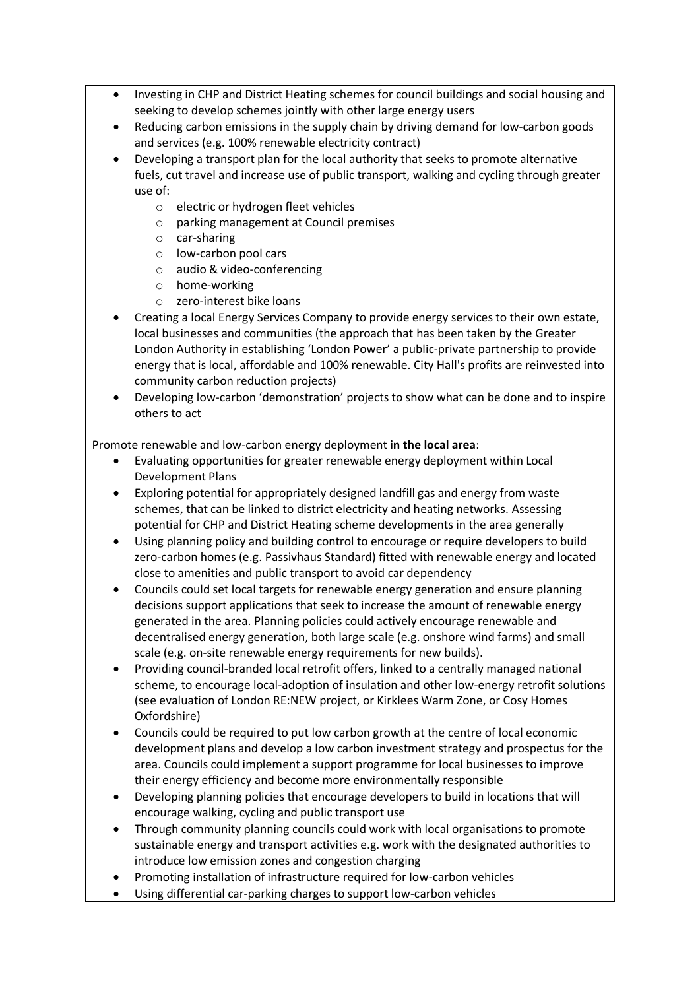- Investing in CHP and District Heating schemes for council buildings and social housing and seeking to develop schemes jointly with other large energy users
- Reducing carbon emissions in the supply chain by driving demand for low-carbon goods and services (e.g. 100% renewable electricity contract)
- Developing a transport plan for the local authority that seeks to promote alternative fuels, cut travel and increase use of public transport, walking and cycling through greater use of:
	- o electric or hydrogen fleet vehicles
	- o parking management at Council premises
	- o car-sharing
	- o low-carbon pool cars
	- o audio & video-conferencing
	- o home-working
	- o zero-interest bike loans
- Creating a local Energy Services Company to provide energy services to their own estate, local businesses and communities (the approach that has been taken by the Greater London Authority in establishing 'London Power' a public-private partnership to provide energy that is local, affordable and 100% renewable. City Hall's profits are reinvested into community carbon reduction projects)
- Developing low-carbon 'demonstration' projects to show what can be done and to inspire others to act

Promote renewable and low-carbon energy deployment **in the local area**:

- Evaluating opportunities for greater renewable energy deployment within Local Development Plans
- Exploring potential for appropriately designed landfill gas and energy from waste schemes, that can be linked to district electricity and heating networks. Assessing potential for CHP and District Heating scheme developments in the area generally
- Using planning policy and building control to encourage or require developers to build zero-carbon homes (e.g. Passivhaus Standard) fitted with renewable energy and located close to amenities and public transport to avoid car dependency
- Councils could set local targets for renewable energy generation and ensure planning decisions support applications that seek to increase the amount of renewable energy generated in the area. Planning policies could actively encourage renewable and decentralised energy generation, both large scale (e.g. onshore wind farms) and small scale (e.g. on-site renewable energy requirements for new builds).
- Providing council-branded local retrofit offers, linked to a centrally managed national scheme, to encourage local-adoption of insulation and other low-energy retrofit solutions (see evaluation of London RE:NEW project, or Kirklees Warm Zone, or Cosy Homes Oxfordshire)
- Councils could be required to put low carbon growth at the centre of local economic development plans and develop a low carbon investment strategy and prospectus for the area. Councils could implement a support programme for local businesses to improve their energy efficiency and become more environmentally responsible
- Developing planning policies that encourage developers to build in locations that will encourage walking, cycling and public transport use
- Through community planning councils could work with local organisations to promote sustainable energy and transport activities e.g. work with the designated authorities to introduce low emission zones and congestion charging
- Promoting installation of infrastructure required for low-carbon vehicles
- Using differential car-parking charges to support low-carbon vehicles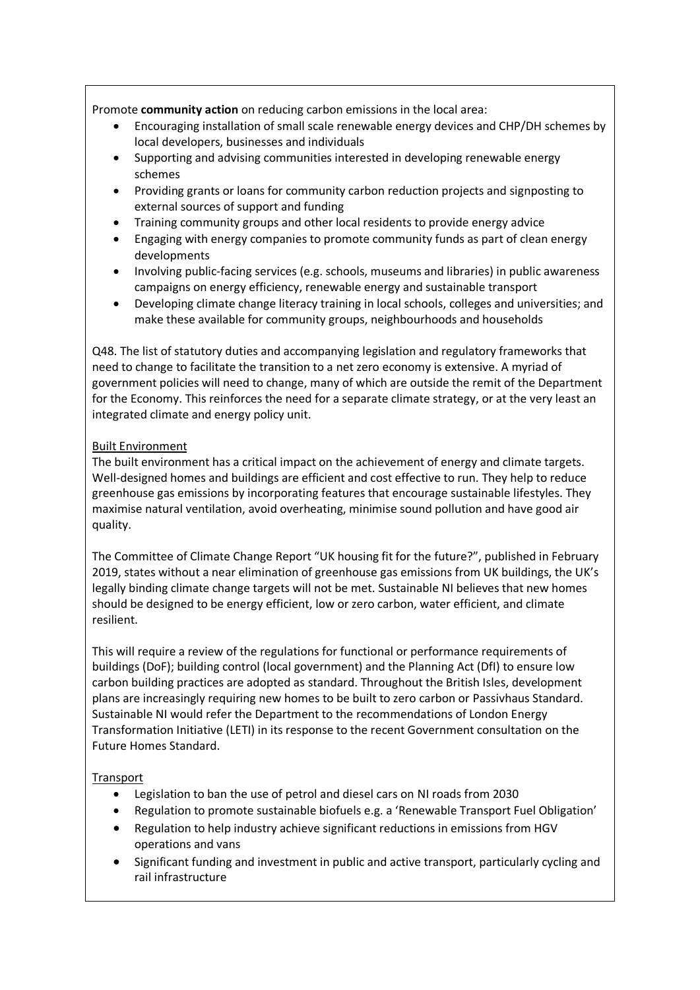Promote **community action** on reducing carbon emissions in the local area:

- Encouraging installation of small scale renewable energy devices and CHP/DH schemes by local developers, businesses and individuals
- Supporting and advising communities interested in developing renewable energy schemes
- Providing grants or loans for community carbon reduction projects and signposting to external sources of support and funding
- Training community groups and other local residents to provide energy advice
- Engaging with energy companies to promote community funds as part of clean energy developments
- Involving public-facing services (e.g. schools, museums and libraries) in public awareness campaigns on energy efficiency, renewable energy and sustainable transport
- Developing climate change literacy training in local schools, colleges and universities; and make these available for community groups, neighbourhoods and households

Q48. The list of statutory duties and accompanying legislation and regulatory frameworks that need to change to facilitate the transition to a net zero economy is extensive. A myriad of government policies will need to change, many of which are outside the remit of the Department for the Economy. This reinforces the need for a separate climate strategy, or at the very least an integrated climate and energy policy unit.

### Built Environment

The built environment has a critical impact on the achievement of energy and climate targets. Well-designed homes and buildings are efficient and cost effective to run. They help to reduce greenhouse gas emissions by incorporating features that encourage sustainable lifestyles. They maximise natural ventilation, avoid overheating, minimise sound pollution and have good air quality.

The Committee of Climate Change Report "UK housing fit for the future?", published in February 2019, states without a near elimination of greenhouse gas emissions from UK buildings, the UK's legally binding climate change targets will not be met. Sustainable NI believes that new homes should be designed to be energy efficient, low or zero carbon, water efficient, and climate resilient.

This will require a review of the regulations for functional or performance requirements of buildings (DoF); building control (local government) and the Planning Act (DfI) to ensure low carbon building practices are adopted as standard. Throughout the British Isles, development plans are increasingly requiring new homes to be built to zero carbon or Passivhaus Standard. Sustainable NI would refer the Department to the recommendations of London Energy Transformation Initiative (LETI) in its response to the recent Government consultation on the Future Homes Standard.

### Transport

- Legislation to ban the use of petrol and diesel cars on NI roads from 2030
- Regulation to promote sustainable biofuels e.g. a 'Renewable Transport Fuel Obligation'
- Regulation to help industry achieve significant reductions in emissions from HGV operations and vans
- Significant funding and investment in public and active transport, particularly cycling and rail infrastructure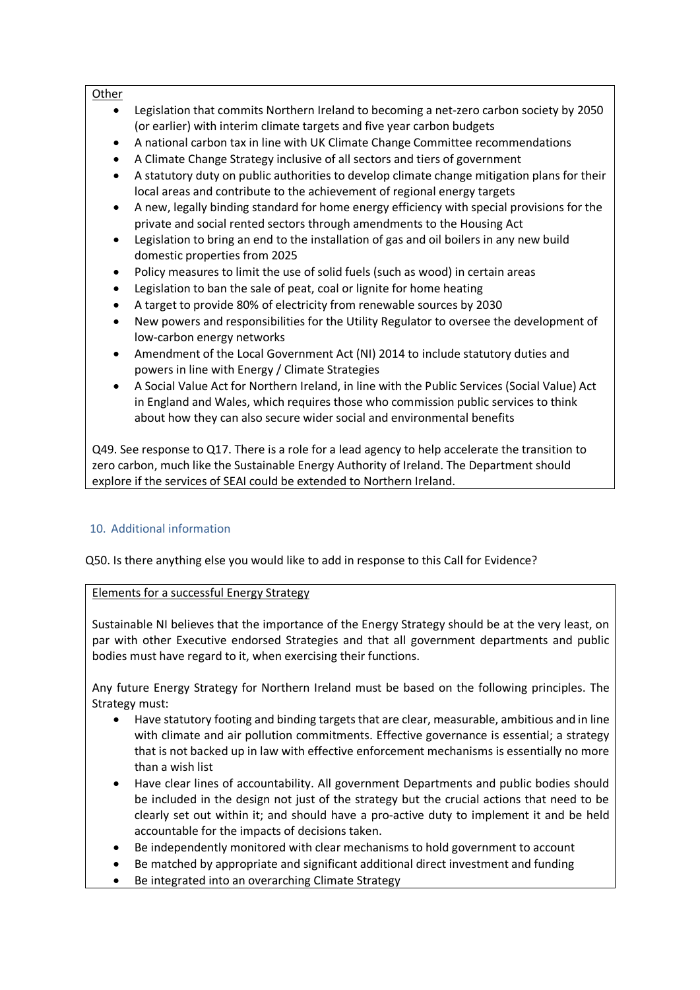#### **Other**

- Legislation that commits Northern Ireland to becoming a net-zero carbon society by 2050 (or earlier) with interim climate targets and five year carbon budgets
- A national carbon tax in line with UK Climate Change Committee recommendations
- A Climate Change Strategy inclusive of all sectors and tiers of government
- A statutory duty on public authorities to develop climate change mitigation plans for their local areas and contribute to the achievement of regional energy targets
- A new, legally binding standard for home energy efficiency with special provisions for the private and social rented sectors through amendments to the Housing Act
- Legislation to bring an end to the installation of gas and oil boilers in any new build domestic properties from 2025
- Policy measures to limit the use of solid fuels (such as wood) in certain areas
- Legislation to ban the sale of peat, coal or lignite for home heating
- A target to provide 80% of electricity from renewable sources by 2030
- New powers and responsibilities for the Utility Regulator to oversee the development of low-carbon energy networks
- Amendment of the Local Government Act (NI) 2014 to include statutory duties and powers in line with Energy / Climate Strategies
- A Social Value Act for Northern Ireland, in line with the Public Services (Social Value) Act in England and Wales, which requires those who commission public services to think about how they can also secure wider social and environmental benefits

Q49. See response to Q17. There is a role for a lead agency to help accelerate the transition to zero carbon, much like the Sustainable Energy Authority of Ireland. The Department should explore if the services of SEAI could be extended to Northern Ireland.

### 10. Additional information

Q50. Is there anything else you would like to add in response to this Call for Evidence?

### Elements for a successful Energy Strategy

Sustainable NI believes that the importance of the Energy Strategy should be at the very least, on par with other Executive endorsed Strategies and that all government departments and public bodies must have regard to it, when exercising their functions.

Any future Energy Strategy for Northern Ireland must be based on the following principles. The Strategy must:

- Have statutory footing and binding targets that are clear, measurable, ambitious and in line with climate and air pollution commitments. Effective governance is essential; a strategy that is not backed up in law with effective enforcement mechanisms is essentially no more than a wish list
- Have clear lines of accountability. All government Departments and public bodies should be included in the design not just of the strategy but the crucial actions that need to be clearly set out within it; and should have a pro-active duty to implement it and be held accountable for the impacts of decisions taken.
- Be independently monitored with clear mechanisms to hold government to account
- Be matched by appropriate and significant additional direct investment and funding
- Be integrated into an overarching Climate Strategy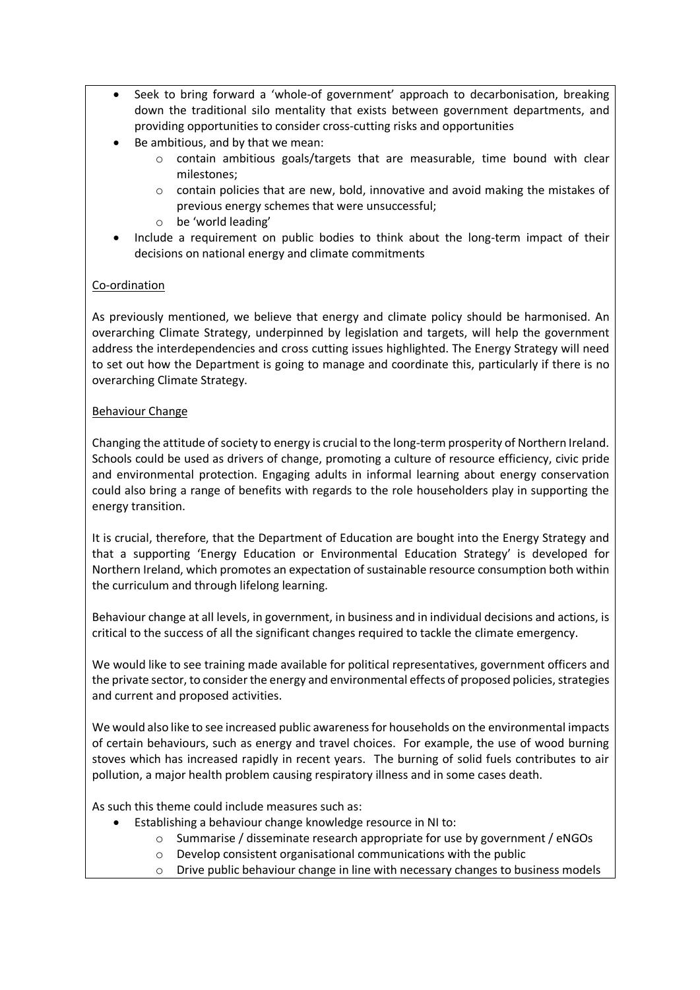- Seek to bring forward a 'whole-of government' approach to decarbonisation, breaking down the traditional silo mentality that exists between government departments, and providing opportunities to consider cross-cutting risks and opportunities
- Be ambitious, and by that we mean:
	- $\circ$  contain ambitious goals/targets that are measurable, time bound with clear milestones;
	- $\circ$  contain policies that are new, bold, innovative and avoid making the mistakes of previous energy schemes that were unsuccessful;
	- o be 'world leading'
- Include a requirement on public bodies to think about the long-term impact of their decisions on national energy and climate commitments

# Co-ordination

As previously mentioned, we believe that energy and climate policy should be harmonised. An overarching Climate Strategy, underpinned by legislation and targets, will help the government address the interdependencies and cross cutting issues highlighted. The Energy Strategy will need to set out how the Department is going to manage and coordinate this, particularly if there is no overarching Climate Strategy.

### Behaviour Change

Changing the attitude of society to energy is crucial to the long-term prosperity of Northern Ireland. Schools could be used as drivers of change, promoting a culture of resource efficiency, civic pride and environmental protection. Engaging adults in informal learning about energy conservation could also bring a range of benefits with regards to the role householders play in supporting the energy transition.

It is crucial, therefore, that the Department of Education are bought into the Energy Strategy and that a supporting 'Energy Education or Environmental Education Strategy' is developed for Northern Ireland, which promotes an expectation of sustainable resource consumption both within the curriculum and through lifelong learning.

Behaviour change at all levels, in government, in business and in individual decisions and actions, is critical to the success of all the significant changes required to tackle the climate emergency.

We would like to see training made available for political representatives, government officers and the private sector, to consider the energy and environmental effects of proposed policies, strategies and current and proposed activities.

We would also like to see increased public awareness for households on the environmental impacts of certain behaviours, such as energy and travel choices. For example, the use of wood burning stoves which has increased rapidly in recent years. The burning of solid fuels contributes to air pollution, a major health problem causing respiratory illness and in some cases death.

As such this theme could include measures such as:

- Establishing a behaviour change knowledge resource in NI to:
	- o Summarise / disseminate research appropriate for use by government / eNGOs
	- o Develop consistent organisational communications with the public
	- o Drive public behaviour change in line with necessary changes to business models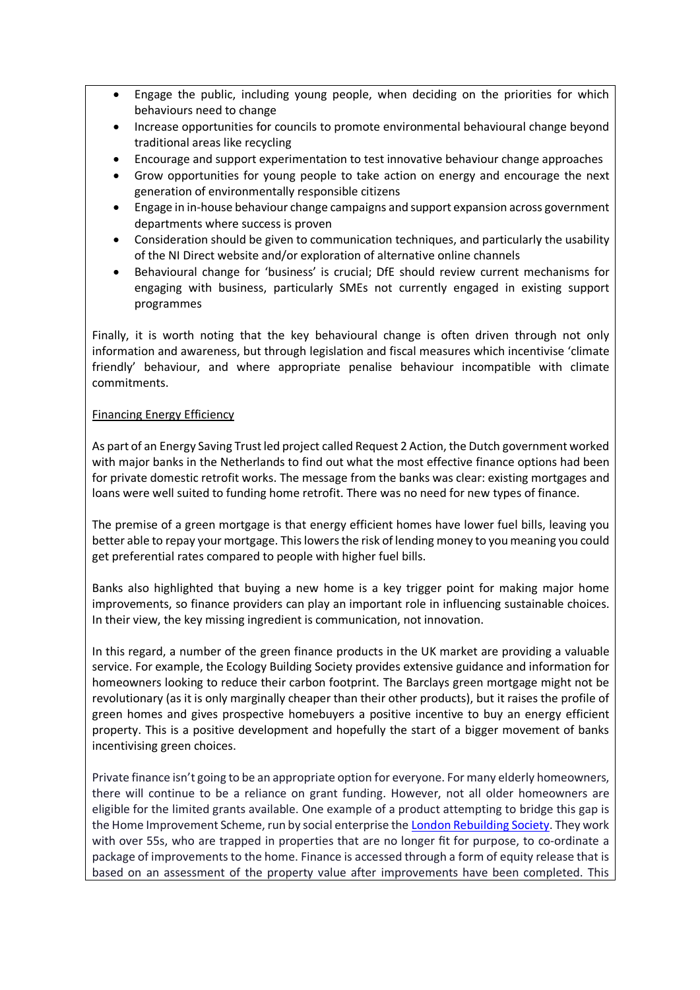- Engage the public, including young people, when deciding on the priorities for which behaviours need to change
- Increase opportunities for councils to promote environmental behavioural change beyond traditional areas like recycling
- Encourage and support experimentation to test innovative behaviour change approaches
- Grow opportunities for young people to take action on energy and encourage the next generation of environmentally responsible citizens
- Engage in in-house behaviour change campaigns and support expansion across government departments where success is proven
- Consideration should be given to communication techniques, and particularly the usability of the NI Direct website and/or exploration of alternative online channels
- Behavioural change for 'business' is crucial; DfE should review current mechanisms for engaging with business, particularly SMEs not currently engaged in existing support programmes

Finally, it is worth noting that the key behavioural change is often driven through not only information and awareness, but through legislation and fiscal measures which incentivise 'climate friendly' behaviour, and where appropriate penalise behaviour incompatible with climate commitments.

#### Financing Energy Efficiency

As part of an Energy Saving Trust led project called Request 2 Action, the Dutch government worked with major banks in the Netherlands to find out what the most effective finance options had been for private domestic retrofit works. The message from the banks was clear: existing mortgages and loans were well suited to funding home retrofit. There was no need for new types of finance.

The premise of a green mortgage is that energy efficient homes have lower fuel bills, leaving you better able to repay your mortgage. This lowers the risk of lending money to you meaning you could get preferential rates compared to people with higher fuel bills.

Banks also highlighted that buying a new home is a key trigger point for making major home improvements, so finance providers can play an important role in influencing sustainable choices. In their view, the key missing ingredient is communication, not innovation.

In this regard, a number of the green finance products in the UK market are providing a valuable service. For example, the Ecology Building Society provides extensive guidance and information for homeowners looking to reduce their carbon footprint. The Barclays green mortgage might not be revolutionary (as it is only marginally cheaper than their other products), but it raises the profile of green homes and gives prospective homebuyers a positive incentive to buy an energy efficient property. This is a positive development and hopefully the start of a bigger movement of banks incentivising green choices.

Private finance isn't going to be an appropriate option for everyone. For many elderly homeowners, there will continue to be a reliance on grant funding. However, not all older homeowners are eligible for the limited grants available. One example of a product attempting to bridge this gap is the Home Improvement Scheme, run by social enterprise the London Rebuilding Society. They work with over 55s, who are trapped in properties that are no longer fit for purpose, to co-ordinate a package of improvements to the home. Finance is accessed through a form of equity release that is based on an assessment of the property value after improvements have been completed. This